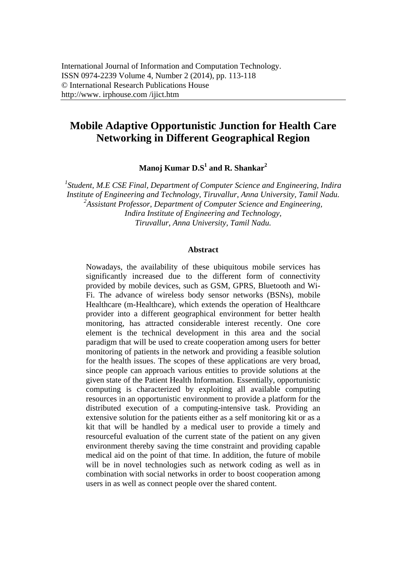# **Mobile Adaptive Opportunistic Junction for Health Care Networking in Different Geographical Region**

**Manoj Kumar D.S1 and R. Shankar<sup>2</sup>**

<sup>1</sup> Student, M.E CSE Final, Department of Computer Science and Engineering, Indira *Institute of Engineering and Technology, Tiruvallur, Anna University, Tamil Nadu. 2 Assistant Professor, Department of Computer Science and Engineering, Indira Institute of Engineering and Technology, Tiruvallur, Anna University, Tamil Nadu.* 

#### **Abstract**

Nowadays, the availability of these ubiquitous mobile services has significantly increased due to the different form of connectivity provided by mobile devices, such as GSM, GPRS, Bluetooth and Wi-Fi. The advance of wireless body sensor networks (BSNs), mobile Healthcare (m-Healthcare), which extends the operation of Healthcare provider into a different geographical environment for better health monitoring, has attracted considerable interest recently. One core element is the technical development in this area and the social paradigm that will be used to create cooperation among users for better monitoring of patients in the network and providing a feasible solution for the health issues. The scopes of these applications are very broad, since people can approach various entities to provide solutions at the given state of the Patient Health Information. Essentially, opportunistic computing is characterized by exploiting all available computing resources in an opportunistic environment to provide a platform for the distributed execution of a computing-intensive task. Providing an extensive solution for the patients either as a self monitoring kit or as a kit that will be handled by a medical user to provide a timely and resourceful evaluation of the current state of the patient on any given environment thereby saving the time constraint and providing capable medical aid on the point of that time. In addition, the future of mobile will be in novel technologies such as network coding as well as in combination with social networks in order to boost cooperation among users in as well as connect people over the shared content.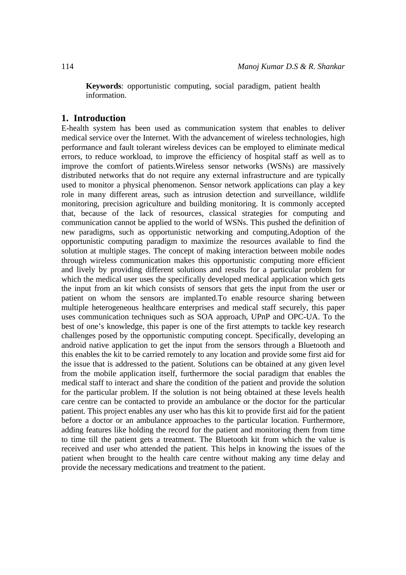**Keywords**: opportunistic computing, social paradigm, patient health information.

## **1. Introduction**

E-health system has been used as communication system that enables to deliver medical service over the Internet. With the advancement of wireless technologies, high performance and fault tolerant wireless devices can be employed to eliminate medical errors, to reduce workload, to improve the efficiency of hospital staff as well as to improve the comfort of patients.Wireless sensor networks (WSNs) are massively distributed networks that do not require any external infrastructure and are typically used to monitor a physical phenomenon. Sensor network applications can play a key role in many different areas, such as intrusion detection and surveillance, wildlife monitoring, precision agriculture and building monitoring. It is commonly accepted that, because of the lack of resources, classical strategies for computing and communication cannot be applied to the world of WSNs. This pushed the definition of new paradigms, such as opportunistic networking and computing.Adoption of the opportunistic computing paradigm to maximize the resources available to find the solution at multiple stages. The concept of making interaction between mobile nodes through wireless communication makes this opportunistic computing more efficient and lively by providing different solutions and results for a particular problem for which the medical user uses the specifically developed medical application which gets the input from an kit which consists of sensors that gets the input from the user or patient on whom the sensors are implanted.To enable resource sharing between multiple heterogeneous healthcare enterprises and medical staff securely, this paper uses communication techniques such as SOA approach, UPnP and OPC-UA. To the best of one's knowledge, this paper is one of the first attempts to tackle key research challenges posed by the opportunistic computing concept. Specifically, developing an android native application to get the input from the sensors through a Bluetooth and this enables the kit to be carried remotely to any location and provide some first aid for the issue that is addressed to the patient. Solutions can be obtained at any given level from the mobile application itself, furthermore the social paradigm that enables the medical staff to interact and share the condition of the patient and provide the solution for the particular problem. If the solution is not being obtained at these levels health care centre can be contacted to provide an ambulance or the doctor for the particular patient. This project enables any user who has this kit to provide first aid for the patient before a doctor or an ambulance approaches to the particular location. Furthermore, adding features like holding the record for the patient and monitoring them from time to time till the patient gets a treatment. The Bluetooth kit from which the value is received and user who attended the patient. This helps in knowing the issues of the patient when brought to the health care centre without making any time delay and provide the necessary medications and treatment to the patient.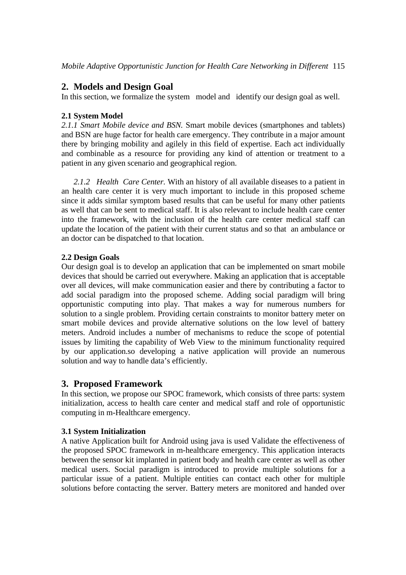## **2. Models and Design Goal**

In this section, we formalize the system model and identify our design goal as well.

## **2.1 System Model**

*2.1.1 Smart Mobile device and BSN.* Smart mobile devices (smartphones and tablets) and BSN are huge factor for health care emergency. They contribute in a major amount there by bringing mobility and agilely in this field of expertise. Each act individually and combinable as a resource for providing any kind of attention or treatment to a patient in any given scenario and geographical region.

*2.1.2 Health Care Center.* With an history of all available diseases to a patient in an health care center it is very much important to include in this proposed scheme since it adds similar symptom based results that can be useful for many other patients as well that can be sent to medical staff. It is also relevant to include health care center into the framework, with the inclusion of the health care center medical staff can update the location of the patient with their current status and so that an ambulance or an doctor can be dispatched to that location.

## **2.2 Design Goals**

Our design goal is to develop an application that can be implemented on smart mobile devices that should be carried out everywhere. Making an application that is acceptable over all devices, will make communication easier and there by contributing a factor to add social paradigm into the proposed scheme. Adding social paradigm will bring opportunistic computing into play. That makes a way for numerous numbers for solution to a single problem. Providing certain constraints to monitor battery meter on smart mobile devices and provide alternative solutions on the low level of battery meters. Android includes a number of mechanisms to reduce the scope of potential issues by limiting the capability of Web View to the minimum functionality required by our application.so developing a native application will provide an numerous solution and way to handle data's efficiently.

## **3. Proposed Framework**

In this section, we propose our SPOC framework, which consists of three parts: system initialization, access to health care center and medical staff and role of opportunistic computing in m-Healthcare emergency.

## **3.1 System Initialization**

A native Application built for Android using java is used Validate the effectiveness of the proposed SPOC framework in m-healthcare emergency. This application interacts between the sensor kit implanted in patient body and health care center as well as other medical users. Social paradigm is introduced to provide multiple solutions for a particular issue of a patient. Multiple entities can contact each other for multiple solutions before contacting the server. Battery meters are monitored and handed over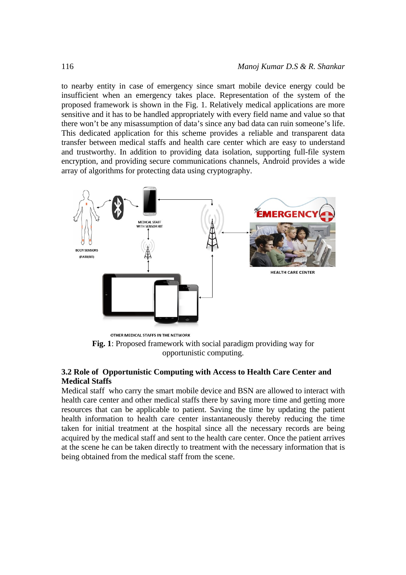to nearby entity in case of emergency since smart mobile device energy could be insufficient when an emergency takes place. Representation of the system of the proposed framework is shown in the Fig. 1. Relatively medical applications are more sensitive and it has to be handled appropriately with every field name and value so that there won't be any misassumption of data's since any bad data can ruin someone's life. This dedicated application for this scheme provides a reliable and transparent data transfer between medical staffs and health care center which are easy to understand and trustworthy. In addition to providing data isolation, supporting full-file system encryption, and providing secure communications channels, Android provides a wide array of algorithms for protecting data using cryptography.



**Fig. 1**: Proposed framework with social paradigm providing way for opportunistic computing.

#### **3.2 Role of Opportunistic Computing with Access to Health Care Center and Medical Staffs**

Medical staff who carry the smart mobile device and BSN are allowed to interact with health care center and other medical staffs there by saving more time and getting more resources that can be applicable to patient. Saving the time by updating the patient health information to health care center instantaneously thereby reducing the time taken for initial treatment at the hospital since all the necessary records are being acquired by the medical staff and sent to the health care center. Once the patient arrives at the scene he can be taken directly to treatment with the necessary information that is being obtained from the medical staff from the scene.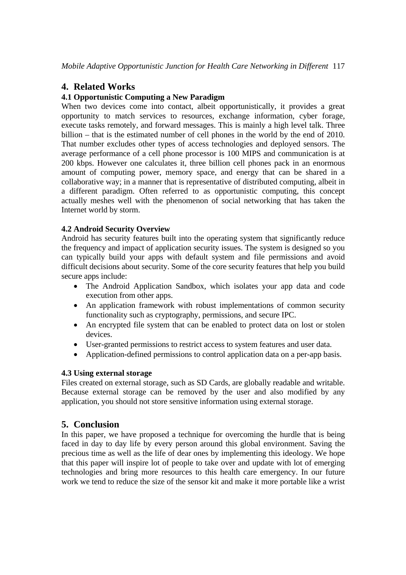## **4. Related Works**

### **4.1 Opportunistic Computing a New Paradigm**

When two devices come into contact, albeit opportunistically, it provides a great opportunity to match services to resources, exchange information, cyber forage, execute tasks remotely, and forward messages. This is mainly a high level talk. Three billion – that is the estimated number of cell phones in the world by the end of 2010. That number excludes other types of access technologies and deployed sensors. The average performance of a cell phone processor is 100 MIPS and communication is at 200 kbps. However one calculates it, three billion cell phones pack in an enormous amount of computing power, memory space, and energy that can be shared in a collaborative way; in a manner that is representative of distributed computing, albeit in a different paradigm. Often referred to as opportunistic computing, this concept actually meshes well with the phenomenon of social networking that has taken the Internet world by storm.

### **4.2 Android Security Overview**

Android has security features built into the operating system that significantly reduce the frequency and impact of application security issues. The system is designed so you can typically build your apps with default system and file permissions and avoid difficult decisions about security. Some of the core security features that help you build secure apps include:

- The Android Application Sandbox, which isolates your app data and code execution from other apps.
- An application framework with robust implementations of common security functionality such as cryptography, permissions, and secure IPC.
- An encrypted file system that can be enabled to protect data on lost or stolen devices.
- User-granted permissions to restrict access to system features and user data.
- Application-defined permissions to control application data on a per-app basis.

### **4.3 Using external storage**

Files created on external storage, such as SD Cards, are globally readable and writable. Because external storage can be removed by the user and also modified by any application, you should not store sensitive information using external storage.

## **5. Conclusion**

In this paper, we have proposed a technique for overcoming the hurdle that is being faced in day to day life by every person around this global environment. Saving the precious time as well as the life of dear ones by implementing this ideology. We hope that this paper will inspire lot of people to take over and update with lot of emerging technologies and bring more resources to this health care emergency. In our future work we tend to reduce the size of the sensor kit and make it more portable like a wrist